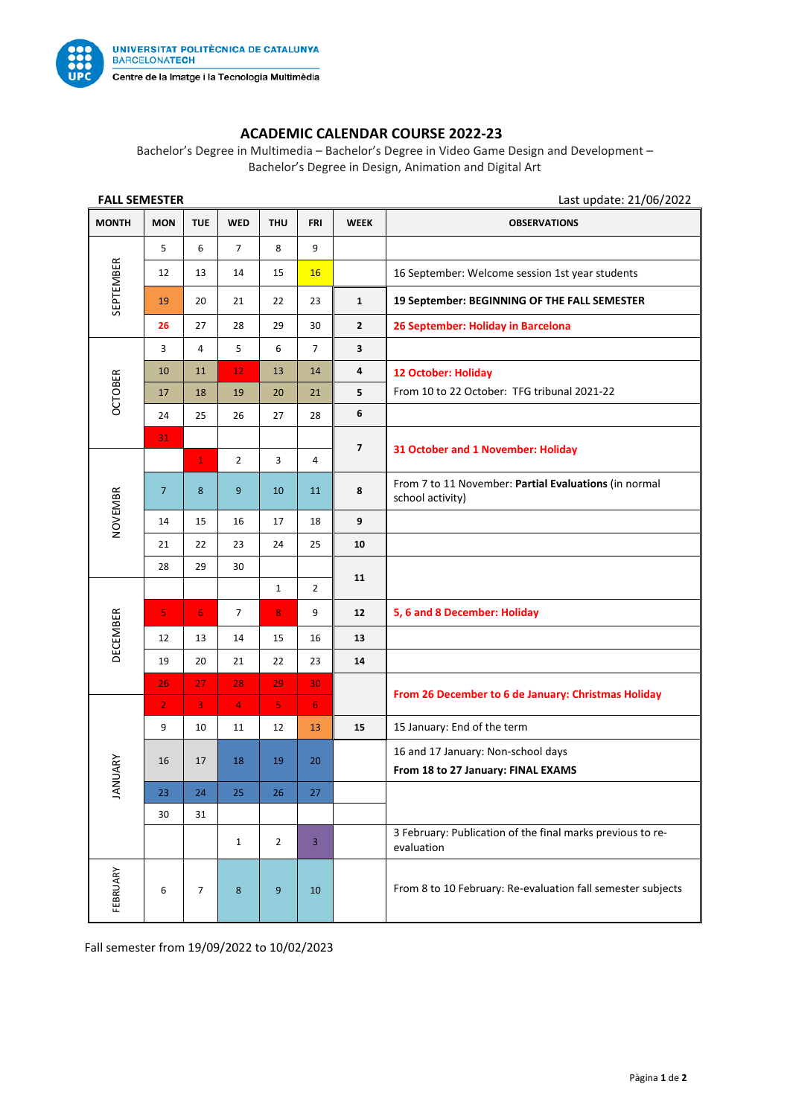

## **ACADEMIC CALENDAR COURSE 2022-23**

Bachelor's Degree in Multimedia – Bachelor's Degree in Video Game Design and Development – Bachelor's Degree in Design, Animation and Digital Art

| <b>FALL SEMESTER</b> |                |                |                |                         |                |                         | Last update: 21/06/2022                                                   |
|----------------------|----------------|----------------|----------------|-------------------------|----------------|-------------------------|---------------------------------------------------------------------------|
| <b>MONTH</b>         | <b>MON</b>     | <b>TUE</b>     | <b>WED</b>     | <b>THU</b>              | <b>FRI</b>     | <b>WEEK</b>             | <b>OBSERVATIONS</b>                                                       |
| SEPTEMBER            | 5              | 6              | $\overline{7}$ | 8                       | 9              |                         |                                                                           |
|                      | 12             | 13             | 14             | 15                      | 16             |                         | 16 September: Welcome session 1st year students                           |
|                      | 19             | 20             | 21             | 22                      | 23             | $\mathbf{1}$            | 19 September: BEGINNING OF THE FALL SEMESTER                              |
|                      | 26             | 27             | 28             | 29                      | 30             | $\overline{2}$          | 26 September: Holiday in Barcelona                                        |
| <b>OCTOBER</b>       | 3              | 4              | 5              | 6                       | $\overline{7}$ | 3                       |                                                                           |
|                      | 10             | 11             | 12             | 13                      | 14             | 4                       | 12 October: Holiday                                                       |
|                      | 17             | 18             | 19             | 20                      | 21             | 5                       | From 10 to 22 October: TFG tribunal 2021-22                               |
|                      | 24             | 25             | 26             | 27                      | 28             | 6                       |                                                                           |
|                      | 31             |                |                |                         |                | $\overline{\mathbf{z}}$ | 31 October and 1 November: Holiday                                        |
| NOVEMBR              |                | $\mathbf{1}$   | $\overline{2}$ | $\overline{3}$          | 4              |                         |                                                                           |
|                      | $\overline{7}$ | 8              | 9              | 10                      | 11             | 8                       | From 7 to 11 November: Partial Evaluations (in normal<br>school activity) |
|                      | 14             | 15             | 16             | 17                      | 18             | 9                       |                                                                           |
|                      | 21             | 22             | 23             | 24                      | 25             | 10                      |                                                                           |
|                      | 28             | 29             | 30             |                         |                | 11                      |                                                                           |
| DECEMBER             |                |                |                | $\mathbf{1}$            | $\overline{2}$ |                         |                                                                           |
|                      | 5              | 6 <sup>1</sup> | $\overline{7}$ | 8                       | 9              | 12                      | 5, 6 and 8 December: Holiday                                              |
|                      | 12             | 13             | 14             | 15                      | 16             | 13                      |                                                                           |
|                      | 19             | 20             | 21             | 22                      | 23             | 14                      |                                                                           |
|                      | 26             | 27             | 28             | 29                      | 30             |                         | From 26 December to 6 de January: Christmas Holiday                       |
|                      | $\overline{2}$ | 3              | $\overline{4}$ | $\overline{\mathbf{5}}$ | 6              |                         |                                                                           |
| <b>NUARY</b><br>₹    | 9              | 10             | 11             | 12                      | 13             | 15                      | 15 January: End of the term                                               |
|                      | 16             | 17             | 18             | 19                      | 20             |                         | 16 and 17 January: Non-school days                                        |
|                      |                |                |                |                         |                |                         | From 18 to 27 January: FINAL EXAMS                                        |
|                      | 23             | 24             | 25             | 26                      | 27             |                         |                                                                           |
|                      | 30             | 31             |                |                         |                |                         |                                                                           |
|                      |                |                | $\mathbf{1}$   | $\overline{2}$          | 3              |                         | 3 February: Publication of the final marks previous to re-<br>evaluation  |
| FEBRUARY             | 6              | $\overline{7}$ | 8              | 9                       | 10             |                         | From 8 to 10 February: Re-evaluation fall semester subjects               |

Fall semester from 19/09/2022 to 10/02/2023